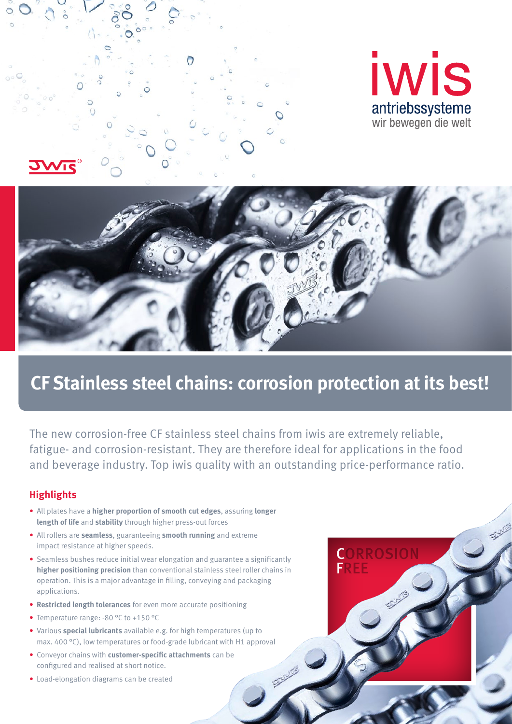





# **CF Stainless steel chains: corrosion protection at its best!**

The new corrosion-free CF stainless steel chains from iwis are extremely reliable, fatigue- and corrosion-resistant. They are therefore ideal for applications in the food and beverage industry. Top iwis quality with an outstanding price-performance ratio.

21/16

### **Highlights**

- All plates have a **higher proportion of smooth cut edges**, assuring **longer length of life** and **stability** through higher press-out forces
- All rollers are **seamless**, guaranteeing **smooth running** and extreme impact resistance at higher speeds.
- Seamless bushes reduce initial wear elongation and guarantee a significantly **higher positioning precision** than conventional stainless steel roller chains in operation. This is a major advantage in filling, conveying and packaging applications.
- **Restricted length tolerances** for even more accurate positioning
- Temperature range: -80 °C to +150 °C
- Various **special lubricants** available e.g. for high temperatures (up to max. 400 °C), low temperatures or food-grade lubricant with H1 approval
- Conveyor chains with **customer-specific attachments** can be configured and realised at short notice.
- Load-elongation diagrams can be created

![](_page_0_Picture_14.jpeg)

**CLASS**